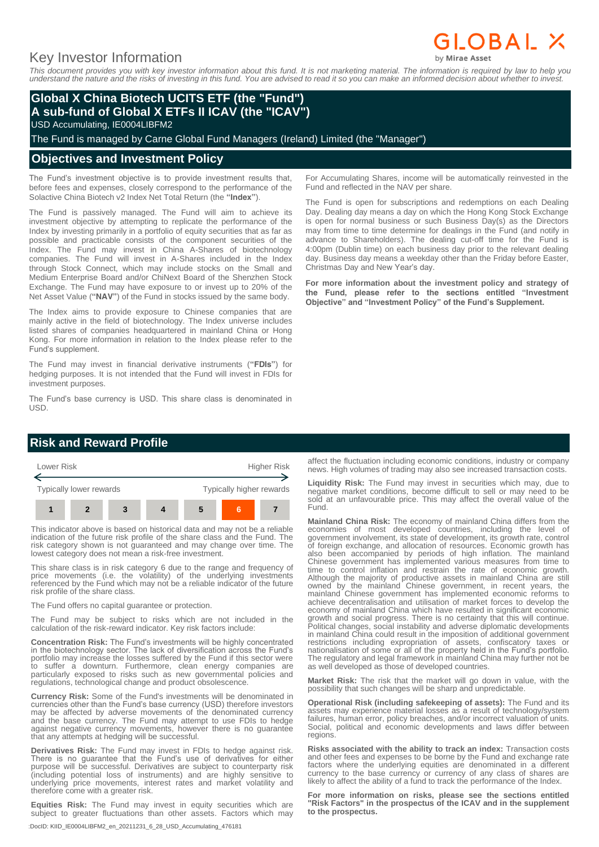# GLOBAL X

# Key Investor Information

*This document provides you with key investor information about this fund. It is not marketing material. The information is required by law to help you understand the nature and the risks of investing in this fund. You are advised to read it so you can make an informed decision about whether to invest.*

### **Global X China Biotech UCITS ETF (the "Fund") A sub-fund of Global X ETFs II ICAV (the "ICAV")**

USD Accumulating, IE0004LIBFM2

The Fund is managed by Carne Global Fund Managers (Ireland) Limited (the "Manager")

#### **Objectives and Investment Policy**

The Fund's investment objective is to provide investment results that, before fees and expenses, closely correspond to the performance of the Solactive China Biotech v2 Index Net Total Return (the **"Index"**).

The Fund is passively managed. The Fund will aim to achieve its investment objective by attempting to replicate the performance of the Index by investing primarily in a portfolio of equity securities that as far as possible and practicable consists of the component securities of the Index. The Fund may invest in China A-Shares of biotechnology companies. The Fund will invest in A-Shares included in the Index through Stock Connect, which may include stocks on the Small and Medium Enterprise Board and/or ChiNext Board of the Shenzhen Stock Exchange. The Fund may have exposure to or invest up to 20% of the Net Asset Value (**"NAV"**) of the Fund in stocks issued by the same body.

The Index aims to provide exposure to Chinese companies that are mainly active in the field of biotechnology. The Index universe includes listed shares of companies headquartered in mainland China or Hong Kong. For more information in relation to the Index please refer to the Fund's supplement.

The Fund may invest in financial derivative instruments (**"FDIs"**) for hedging purposes. It is not intended that the Fund will invest in FDIs for investment purposes.

The Fund's base currency is USD. This share class is denominated in USD.

For Accumulating Shares, income will be automatically reinvested in the Fund and reflected in the NAV per share.

The Fund is open for subscriptions and redemptions on each Dealing Day. Dealing day means a day on which the Hong Kong Stock Exchange is open for normal business or such Business Day(s) as the Directors may from time to time determine for dealings in the Fund (and notify in advance to Shareholders). The dealing cut-off time for the Fund is 4:00pm (Dublin time) on each business day prior to the relevant dealing day. Business day means a weekday other than the Friday before Easter, Christmas Day and New Year's day.

**For more information about the investment policy and strategy of the Fund, please refer to the sections entitled "Investment Objective" and "Investment Policy" of the Fund's Supplement.**

### **Risk and Reward Profile**



This indicator above is based on historical data and may not be a reliable indication of the future risk profile of the share class and the Fund. The risk category shown is not guaranteed and may change over time. The lowest category does not mean a risk-free investment.

This share class is in risk category 6 due to the range and frequency of price movements (i.e. the volatility) of the underlying investments referenced by the Fund which may not be a reliable indicator of the future risk profile of the share class.

The Fund offers no capital guarantee or protection.

The Fund may be subject to risks which are not included in the calculation of the risk-reward indicator. Key risk factors include:

**Concentration Risk:** The Fund's investments will be highly concentrated in the biotechnology sector. The lack of diversification across the Fund's portfolio may increase the losses suffered by the Fund if this sector were to suffer a downturn. Furthermore, clean energy companies are particularly exposed to risks such as new governmental policies and regulations, technological change and product obsolescence.

**Currency Risk:** Some of the Fund's investments will be denominated in currencies other than the Fund's base currency (USD) therefore investors may be affected by adverse movements of the denominated currency and the base currency. The Fund may attempt to use FDIs to hedge against negative currency movements, however there is no guarantee that any attempts at hedging will be successful.

**Derivatives Risk:** The Fund may invest in FDIs to hedge against risk. There is no guarantee that the Fund's use of derivatives for either purpose will be successful. Derivatives are subject to counterparty risk (including potential loss of instruments) and are highly sensitive to underlying price movements, interest rates and market volatility and therefore come with a greater risk.

**Equities Risk:** The Fund may invest in equity securities which are subject to greater fluctuations than other assets. Factors which may

:DocID: KIID\_IE0004LIBFM2\_en\_20211231\_6\_28\_USD\_Accumulating\_476181

affect the fluctuation including economic conditions, industry or company news. High volumes of trading may also see increased transaction costs.

**Liquidity Risk:** The Fund may invest in securities which may, due to negative market conditions, become difficult to sell or may need to be sold at an unfavourable price. This may affect the overall value of the Fund.

**Mainland China Risk:** The economy of mainland China differs from the economies of most developed countries, including the level of government involvement, its state of development, its growth rate, control of foreign exchange, and allocation of resources. Economic growth has also been accompanied by periods of high inflation. The mainland Chinese government has implemented various measures from time to time to control inflation and restrain the rate of economic growth. Although the majority of productive assets in mainland China are still owned by the mainland Chinese government, in recent years, the mainland Chinese government has implemented economic reforms to achieve decentralisation and utilisation of market forces to develop the economy of mainland China which have resulted in significant economic growth and social progress. There is no certainty that this will continue. Political changes, social instability and adverse diplomatic developments in mainland China could result in the imposition of additional government restrictions including expropriation of assets, confiscatory taxes or nationalisation of some or all of the property held in the Fund's portfolio. The regulatory and legal framework in mainland China may further not be as well developed as those of developed countries.

**Market Risk:** The risk that the market will go down in value, with the possibility that such changes will be sharp and unpredictable.

**Operational Risk (including safekeeping of assets):** The Fund and its assets may experience material losses as a result of technology/system failures, human error, policy breaches, and/or incorrect valuation of units. Social, political and economic developments and laws differ between regions.

**Risks associated with the ability to track an index:** Transaction costs and other fees and expenses to be borne by the Fund and exchange rate factors where the underlying equities are denominated in a different currency to the base currency or currency of any class of shares are likely to affect the ability of a fund to track the performance of the Index.

**For more information on risks, please see the sections entitled "Risk Factors" in the prospectus of the ICAV and in the supplement to the prospectus.**